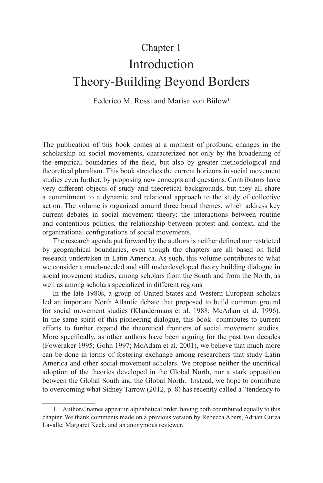# Chapter 1 Introduction Theory-Building Beyond Borders

Federico M. Rossi and Marisa von Bülow1

The publication of this book comes at a moment of profound changes in the scholarship on social movements, characterized not only by the broadening of the empirical boundaries of the field, but also by greater methodological and theoretical pluralism. This book stretches the current horizons in social movement studies even further, by proposing new concepts and questions. Contributors have very different objects of study and theoretical backgrounds, but they all share a commitment to a dynamic and relational approach to the study of collective action. The volume is organized around three broad themes, which address key current debates in social movement theory: the interactions between routine and contentious politics, the relationship between protest and context, and the organizational configurations of social movements.

The research agenda put forward by the authors is neither defined nor restricted by geographical boundaries, even though the chapters are all based on field research undertaken in Latin America. As such, this volume contributes to what we consider a much-needed and still underdeveloped theory building dialogue in social movement studies, among scholars from the South and from the North, as well as among scholars specialized in different regions.

In the late 1980s, a group of United States and Western European scholars led an important North Atlantic debate that proposed to build common ground for social movement studies (Klandermans et al. 1988; McAdam et al. 1996). In the same spirit of this pioneering dialogue, this book contributes to current efforts to further expand the theoretical frontiers of social movement studies. More specifically, as other authors have been arguing for the past two decades (Foweraker 1995; Gohn 1997; McAdam et al. 2001), we believe that much more can be done in terms of fostering exchange among researchers that study Latin America and other social movement scholars. We propose neither the uncritical adoption of the theories developed in the Global North, nor a stark opposition between the Global South and the Global North. Instead, we hope to contribute to overcoming what Sidney Tarrow (2012, p. 8) has recently called a "tendency to

<sup>1</sup> Authors' names appear in alphabetical order, having both contributed equally to this chapter. We thank comments made on a previous version by Rebecca Abers, Adrian Gurza Lavalle, Margaret Keck, and an anonymous reviewer.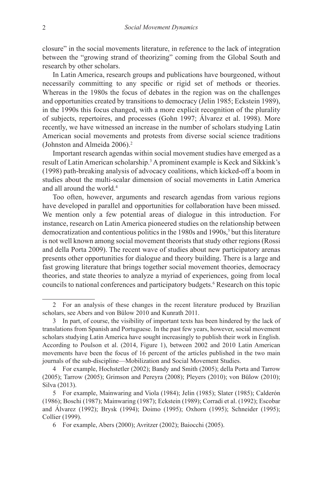closure" in the social movements literature, in reference to the lack of integration between the "growing strand of theorizing" coming from the Global South and research by other scholars.

In Latin America, research groups and publications have bourgeoned, without necessarily committing to any specific or rigid set of methods or theories. Whereas in the 1980s the focus of debates in the region was on the challenges and opportunities created by transitions to democracy (Jelin 1985; Eckstein 1989), in the 1990s this focus changed, with a more explicit recognition of the plurality of subjects, repertoires, and processes (Gohn 1997; Álvarez et al. 1998). More recently, we have witnessed an increase in the number of scholars studying Latin American social movements and protests from diverse social science traditions (Johnston and Almeida 2006).<sup>2</sup>

Important research agendas within social movement studies have emerged as a result of Latin American scholarship.<sup>3</sup> A prominent example is Keck and Sikkink's (1998) path-breaking analysis of advocacy coalitions, which kicked-off a boom in studies about the multi-scalar dimension of social movements in Latin America and all around the world.<sup>4</sup>

Too often, however, arguments and research agendas from various regions have developed in parallel and opportunities for collaboration have been missed. We mention only a few potential areas of dialogue in this introduction. For instance, research on Latin America pioneered studies on the relationship between democratization and contentious politics in the 1980s and 1990s,<sup>5</sup> but this literature is not well known among social movement theorists that study other regions (Rossi and della Porta 2009). The recent wave of studies about new participatory arenas presents other opportunities for dialogue and theory building. There is a large and fast growing literature that brings together social movement theories, democracy theories, and state theories to analyze a myriad of experiences, going from local councils to national conferences and participatory budgets.<sup>6</sup> Research on this topic

<sup>2</sup> For an analysis of these changes in the recent literature produced by Brazilian scholars, see Abers and von Bülow 2010 and Kunrath 2011.

In part, of course, the visibility of important texts has been hindered by the lack of translations from Spanish and Portuguese. In the past few years, however, social movement scholars studying Latin America have sought increasingly to publish their work in English. According to Poulson et al. (2014, Figure 1), between 2002 and 2010 Latin American movements have been the focus of 16 percent of the articles published in the two main journals of the sub-discipline—Mobilization and Social Movement Studies.

<sup>4</sup> For example, Hochstetler (2002); Bandy and Smith (2005); della Porta and Tarrow (2005); Tarrow (2005); Grimson and Pereyra (2008); Pleyers (2010); von Bülow (2010); Silva (2013).

<sup>5</sup> For example, Mainwaring and Viola (1984); Jelin (1985); Slater (1985); Calderón (1986); Boschi (1987); Mainwaring (1987); Eckstein (1989); Corradi et al. (1992); Escobar and Álvarez (1992); Brysk (1994); Doimo (1995); Oxhorn (1995); Schneider (1995); Collier (1999).

<sup>6</sup> For example, Abers (2000); Avritzer (2002); Baiocchi (2005).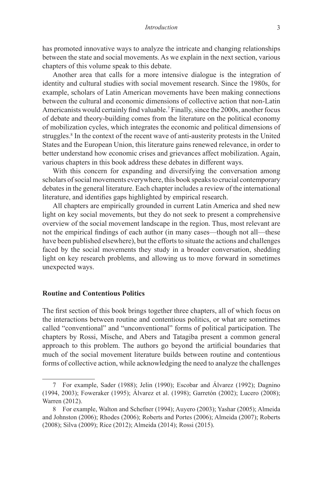has promoted innovative ways to analyze the intricate and changing relationships between the state and social movements. As we explain in the next section, various chapters of this volume speak to this debate.

Another area that calls for a more intensive dialogue is the integration of identity and cultural studies with social movement research. Since the 1980s, for example, scholars of Latin American movements have been making connections between the cultural and economic dimensions of collective action that non-Latin Americanists would certainly find valuable.<sup>7</sup> Finally, since the 2000s, another focus of debate and theory-building comes from the literature on the political economy of mobilization cycles, which integrates the economic and political dimensions of struggles.<sup>8</sup> In the context of the recent wave of anti-austerity protests in the United States and the European Union, this literature gains renewed relevance, in order to better understand how economic crises and grievances affect mobilization. Again, various chapters in this book address these debates in different ways.

With this concern for expanding and diversifying the conversation among scholars of social movements everywhere, this book speaks to crucial contemporary debates in the general literature. Each chapter includes a review of the international literature, and identifies gaps highlighted by empirical research.

All chapters are empirically grounded in current Latin America and shed new light on key social movements, but they do not seek to present a comprehensive overview of the social movement landscape in the region. Thus, most relevant are not the empirical findings of each author (in many cases—though not all—these have been published elsewhere), but the efforts to situate the actions and challenges faced by the social movements they study in a broader conversation, shedding light on key research problems, and allowing us to move forward in sometimes unexpected ways.

### **Routine and Contentious Politics**

The first section of this book brings together three chapters, all of which focus on the interactions between routine and contentious politics, or what are sometimes called "conventional" and "unconventional" forms of political participation. The chapters by Rossi, Mische, and Abers and Tatagiba present a common general approach to this problem. The authors go beyond the artificial boundaries that much of the social movement literature builds between routine and contentious forms of collective action, while acknowledging the need to analyze the challenges

<sup>7</sup> For example, Sader (1988); Jelin (1990); Escobar and Álvarez (1992); Dagnino (1994, 2003); Foweraker (1995); Álvarez et al. (1998); Garretón (2002); Lucero (2008); Warren (2012).

<sup>8</sup> For example, Walton and Schefner (1994); Auyero (2003); Yashar (2005); Almeida and Johnston (2006); Rhodes (2006); Roberts and Portes (2006); Almeida (2007); Roberts (2008); Silva (2009); Rice (2012); Almeida (2014); Rossi (2015).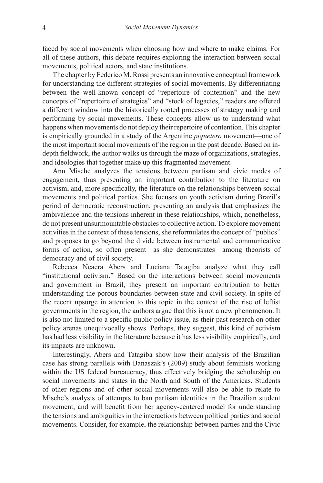faced by social movements when choosing how and where to make claims. For all of these authors, this debate requires exploring the interaction between social movements, political actors, and state institutions.

The chapter by Federico M. Rossi presents an innovative conceptual framework for understanding the different strategies of social movements. By differentiating between the well-known concept of "repertoire of contention" and the new concepts of "repertoire of strategies" and "stock of legacies," readers are offered a different window into the historically rooted processes of strategy making and performing by social movements. These concepts allow us to understand what happens when movements do not deploy their repertoire of contention. This chapter is empirically grounded in a study of the Argentine *piquetero* movement—one of the most important social movements of the region in the past decade. Based on indepth fieldwork, the author walks us through the maze of organizations, strategies, and ideologies that together make up this fragmented movement.

Ann Mische analyzes the tensions between partisan and civic modes of engagement, thus presenting an important contribution to the literature on activism, and, more specifically, the literature on the relationships between social movements and political parties. She focuses on youth activism during Brazil's period of democratic reconstruction, presenting an analysis that emphasizes the ambivalence and the tensions inherent in these relationships, which, nonetheless, do not present unsurmountable obstacles to collective action. To explore movement activities in the context of these tensions, she reformulates the concept of "publics" and proposes to go beyond the divide between instrumental and communicative forms of action, so often present—as she demonstrates—among theorists of democracy and of civil society.

Rebecca Neaera Abers and Luciana Tatagiba analyze what they call "institutional activism." Based on the interactions between social movements and government in Brazil, they present an important contribution to better understanding the porous boundaries between state and civil society. In spite of the recent upsurge in attention to this topic in the context of the rise of leftist governments in the region, the authors argue that this is not a new phenomenon. It is also not limited to a specific public policy issue, as their past research on other policy arenas unequivocally shows. Perhaps, they suggest, this kind of activism has had less visibility in the literature because it has less visibility empirically, and its impacts are unknown.

Interestingly, Abers and Tatagiba show how their analysis of the Brazilian case has strong parallels with Banaszak's (2009) study about feminists working within the US federal bureaucracy, thus effectively bridging the scholarship on social movements and states in the North and South of the Americas. Students of other regions and of other social movements will also be able to relate to Mische's analysis of attempts to ban partisan identities in the Brazilian student movement, and will benefit from her agency-centered model for understanding the tensions and ambiguities in the interactions between political parties and social movements. Consider, for example, the relationship between parties and the Civic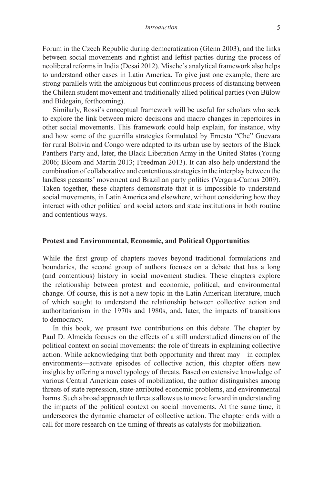Forum in the Czech Republic during democratization (Glenn 2003), and the links between social movements and rightist and leftist parties during the process of neoliberal reforms in India (Desai 2012). Mische's analytical framework also helps to understand other cases in Latin America. To give just one example, there are strong parallels with the ambiguous but continuous process of distancing between the Chilean student movement and traditionally allied political parties (von Bülow and Bidegain, forthcoming).

Similarly, Rossi's conceptual framework will be useful for scholars who seek to explore the link between micro decisions and macro changes in repertoires in other social movements. This framework could help explain, for instance, why and how some of the guerrilla strategies formulated by Ernesto "Che" Guevara for rural Bolivia and Congo were adapted to its urban use by sectors of the Black Panthers Party and, later, the Black Liberation Army in the United States (Young 2006; Bloom and Martin 2013; Freedman 2013). It can also help understand the combination of collaborative and contentious strategies in the interplay between the landless peasants' movement and Brazilian party politics (Vergara-Camus 2009). Taken together, these chapters demonstrate that it is impossible to understand social movements, in Latin America and elsewhere, without considering how they interact with other political and social actors and state institutions in both routine and contentious ways.

### **Protest and Environmental, Economic, and Political Opportunities**

While the first group of chapters moves beyond traditional formulations and boundaries, the second group of authors focuses on a debate that has a long (and contentious) history in social movement studies. These chapters explore the relationship between protest and economic, political, and environmental change. Of course, this is not a new topic in the Latin American literature, much of which sought to understand the relationship between collective action and authoritarianism in the 1970s and 1980s, and, later, the impacts of transitions to democracy.

In this book, we present two contributions on this debate. The chapter by Paul D. Almeida focuses on the effects of a still understudied dimension of the political context on social movements: the role of threats in explaining collective action. While acknowledging that both opportunity and threat may—in complex environments—activate episodes of collective action, this chapter offers new insights by offering a novel typology of threats. Based on extensive knowledge of various Central American cases of mobilization, the author distinguishes among threats of state repression, state-attributed economic problems, and environmental harms. Such a broad approach to threats allows us to move forward in understanding the impacts of the political context on social movements. At the same time, it underscores the dynamic character of collective action. The chapter ends with a call for more research on the timing of threats as catalysts for mobilization.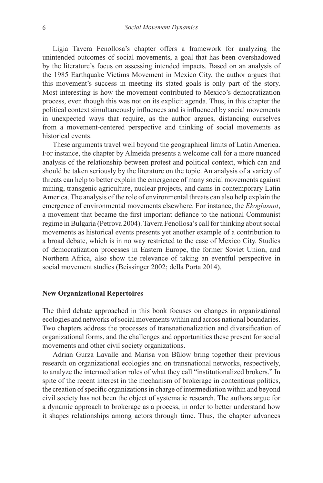Ligia Tavera Fenollosa's chapter offers a framework for analyzing the unintended outcomes of social movements, a goal that has been overshadowed by the literature's focus on assessing intended impacts. Based on an analysis of the 1985 Earthquake Victims Movement in Mexico City, the author argues that this movement's success in meeting its stated goals is only part of the story. Most interesting is how the movement contributed to Mexico's democratization process, even though this was not on its explicit agenda. Thus, in this chapter the political context simultaneously influences and is influenced by social movements in unexpected ways that require, as the author argues, distancing ourselves from a movement-centered perspective and thinking of social movements as historical events.

These arguments travel well beyond the geographical limits of Latin America. For instance, the chapter by Almeida presents a welcome call for a more nuanced analysis of the relationship between protest and political context, which can and should be taken seriously by the literature on the topic. An analysis of a variety of threats can help to better explain the emergence of many social movements against mining, transgenic agriculture, nuclear projects, and dams in contemporary Latin America. The analysis of the role of environmental threats can also help explain the emergence of environmental movements elsewhere. For instance, the *Ekoglasnot*, a movement that became the first important defiance to the national Communist regime in Bulgaria (Petrova 2004). Tavera Fenollosa's call for thinking about social movements as historical events presents yet another example of a contribution to a broad debate, which is in no way restricted to the case of Mexico City. Studies of democratization processes in Eastern Europe, the former Soviet Union, and Northern Africa, also show the relevance of taking an eventful perspective in social movement studies (Beissinger 2002; della Porta 2014).

#### **New Organizational Repertoires**

The third debate approached in this book focuses on changes in organizational ecologies and networks of social movements within and across national boundaries. Two chapters address the processes of transnationalization and diversification of organizational forms, and the challenges and opportunities these present for social movements and other civil society organizations.

Adrian Gurza Lavalle and Marisa von Bülow bring together their previous research on organizational ecologies and on transnational networks, respectively, to analyze the intermediation roles of what they call "institutionalized brokers." In spite of the recent interest in the mechanism of brokerage in contentious politics, the creation of specific organizations in charge of intermediation within and beyond civil society has not been the object of systematic research. The authors argue for a dynamic approach to brokerage as a process, in order to better understand how it shapes relationships among actors through time. Thus, the chapter advances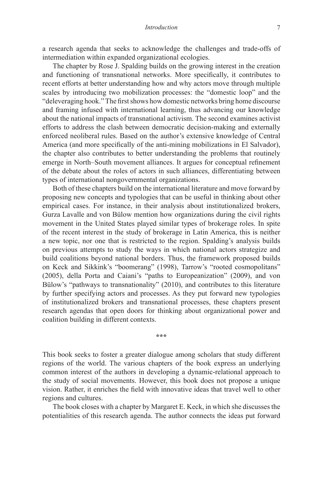a research agenda that seeks to acknowledge the challenges and trade-offs of intermediation within expanded organizational ecologies.

The chapter by Rose J. Spalding builds on the growing interest in the creation and functioning of transnational networks. More specifically, it contributes to recent efforts at better understanding how and why actors move through multiple scales by introducing two mobilization processes: the "domestic loop" and the "deleveraging hook." The first shows how domestic networks bring home discourse and framing infused with international learning, thus advancing our knowledge about the national impacts of transnational activism. The second examines activist efforts to address the clash between democratic decision-making and externally enforced neoliberal rules. Based on the author's extensive knowledge of Central America (and more specifically of the anti-mining mobilizations in El Salvador), the chapter also contributes to better understanding the problems that routinely emerge in North–South movement alliances. It argues for conceptual refinement of the debate about the roles of actors in such alliances, differentiating between types of international nongovernmental organizations.

Both of these chapters build on the international literature and move forward by proposing new concepts and typologies that can be useful in thinking about other empirical cases. For instance, in their analysis about institutionalized brokers, Gurza Lavalle and von Bülow mention how organizations during the civil rights movement in the United States played similar types of brokerage roles. In spite of the recent interest in the study of brokerage in Latin America, this is neither a new topic, nor one that is restricted to the region. Spalding's analysis builds on previous attempts to study the ways in which national actors strategize and build coalitions beyond national borders. Thus, the framework proposed builds on Keck and Sikkink's "boomerang" (1998), Tarrow's "rooted cosmopolitans" (2005), della Porta and Caiani's "paths to Europeanization" (2009), and von Bülow's "pathways to transnationality" (2010), and contributes to this literature by further specifying actors and processes. As they put forward new typologies of institutionalized brokers and transnational processes, these chapters present research agendas that open doors for thinking about organizational power and coalition building in different contexts.

**\*\*\***

This book seeks to foster a greater dialogue among scholars that study different regions of the world. The various chapters of the book express an underlying common interest of the authors in developing a dynamic-relational approach to the study of social movements. However, this book does not propose a unique vision. Rather, it enriches the field with innovative ideas that travel well to other regions and cultures.

The book closes with a chapter by Margaret E. Keck, in which she discusses the potentialities of this research agenda. The author connects the ideas put forward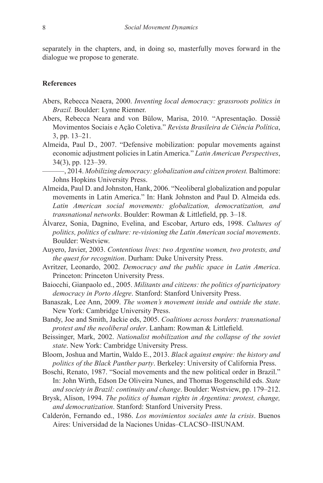separately in the chapters, and, in doing so, masterfully moves forward in the dialogue we propose to generate.

## **References**

- Abers, Rebecca Neaera, 2000. *Inventing local democracy: grassroots politics in Brazil.* Boulder: Lynne Rienner.
- Abers, Rebecca Neara and von Bülow, Marisa, 2010. "Apresentação. Dossiê Movimentos Sociais e Ação Coletiva." *Revista Brasileira de Ciência Política*, 3, pp. 13–21.
- Almeida, Paul D., 2007. "Defensive mobilization: popular movements against economic adjustment policies in Latin America." *Latin American Perspectives*, 34(3), pp. 123–39.

———, 2014. *Mobilizing democracy: globalization and citizen protest.* Baltimore: Johns Hopkins University Press.

- Almeida, Paul D. and Johnston, Hank, 2006. "Neoliberal globalization and popular movements in Latin America." In: Hank Johnston and Paul D. Almeida eds. *Latin American social movements: globalization, democratization, and transnational networks*. Boulder: Rowman & Littlefield, pp. 3–18.
- Álvarez, Sonia, Dagnino, Evelina, and Escobar, Arturo eds, 1998. *Cultures of politics, politics of culture: re-visioning the Latin American social movements*. Boulder: Westview.
- Auyero, Javier, 2003. *Contentious lives: two Argentine women, two protests, and the quest for recognition*. Durham: Duke University Press.
- Avritzer, Leonardo, 2002. *Democracy and the public space in Latin America*. Princeton: Princeton University Press.
- Baiocchi, Gianpaolo ed., 2005. *Militants and citizens: the politics of participatory democracy in Porto Alegre*. Stanford: Stanford University Press.
- Banaszak, Lee Ann, 2009. *The women's movement inside and outside the state*. New York: Cambridge University Press.
- Bandy, Joe and Smith, Jackie eds, 2005. *Coalitions across borders: transnational protest and the neoliberal order*. Lanham: Rowman & Littlefield.
- Beissinger, Mark, 2002. *Nationalist mobilization and the collapse of the soviet state*. New York: Cambridge University Press.
- Bloom, Joshua and Martin, Waldo E., 2013. *Black against empire: the history and politics of the Black Panther party*. Berkeley: University of California Press.

Boschi, Renato, 1987. "Social movements and the new political order in Brazil." In: John Wirth, Edson De Oliveira Nunes, and Thomas Bogenschild eds. *State and society in Brazil: continuity and change*. Boulder: Westview, pp. 179–212.

Brysk, Alison, 1994. *The politics of human rights in Argentina: protest, change, and democratization*. Stanford: Stanford University Press.

Calderón, Fernando ed., 1986. *Los movimientos sociales ante la crisis*. Buenos Aires: Universidad de la Naciones Unidas–CLACSO–IISUNAM.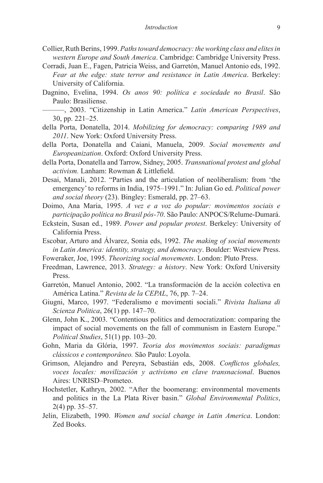- Collier, Ruth Berins, 1999. *Paths toward democracy: the working class and elites in western Europe and South America*. Cambridge: Cambridge University Press.
- Corradi, Juan E., Fagen, Patricia Weiss, and Garretón, Manuel Antonio eds, 1992. *Fear at the edge: state terror and resistance in Latin America*. Berkeley: University of California.
- Dagnino, Evelina, 1994. *Os anos 90: política e sociedade no Brasil*. São Paulo: Brasiliense.

- della Porta, Donatella, 2014. *Mobilizing for democracy: comparing 1989 and 2011*. New York: Oxford University Press.
- della Porta, Donatella and Caiani, Manuela, 2009. *Social movements and Europeanization*. Oxford: Oxford University Press.
- della Porta, Donatella and Tarrow, Sidney, 2005. *Transnational protest and global activism.* Lanham: Rowman & Littlefield.
- Desai, Manali, 2012. "Parties and the articulation of neoliberalism: from 'the emergency' to reforms in India, 1975–1991." In: Julian Go ed. *Political power and social theory* (23). Bingley: Esmerald, pp. 27–63.
- Doimo, Ana Maria, 1995. *A vez e a voz do popular: movimentos sociais e participação política no Brasil pós-70*. São Paulo: ANPOCS/Relume-Dumará.
- Eckstein, Susan ed., 1989. *Power and popular protest*. Berkeley: University of California Press.
- Escobar, Arturo and Álvarez, Sonia eds, 1992. *The making of social movements in Latin America: identity, strategy, and democracy*. Boulder: Westview Press.
- Foweraker, Joe, 1995. *Theorizing social movements*. London: Pluto Press.
- Freedman, Lawrence, 2013. *Strategy: a history*. New York: Oxford University Press.
- Garretón, Manuel Antonio, 2002. "La transformación de la acción colectiva en América Latina." *Revista de la CEPAL*, 76, pp. 7–24.
- Giugni, Marco, 1997. "Federalismo e movimenti sociali." *Rivista Italiana di Scienza Politica*, 26(1) pp. 147–70.
- Glenn, John K., 2003. "Contentious politics and democratization: comparing the impact of social movements on the fall of communism in Eastern Europe." *Political Studies*, 51(1) pp. 103–20.
- Gohn, Maria da Glória, 1997. *Teoria dos movimentos sociais: paradigmas clássicos e contemporâneo.* São Paulo: Loyola.
- Grimson, Alejandro and Pereyra, Sebastián eds, 2008. *Conflictos globales, voces locales: movilización y activismo en clave transnacional*. Buenos Aires: UNRISD–Prometeo.
- Hochstetler, Kathryn, 2002. "After the boomerang: environmental movements and politics in the La Plata River basin." *Global Environmental Politics*, 2(4) pp. 35–57.
- Jelin, Elizabeth, 1990. *Women and social change in Latin America*. London: Zed Books.

<sup>———, 2003. &</sup>quot;Citizenship in Latin America." *Latin American Perspectives*, 30, pp. 221–25.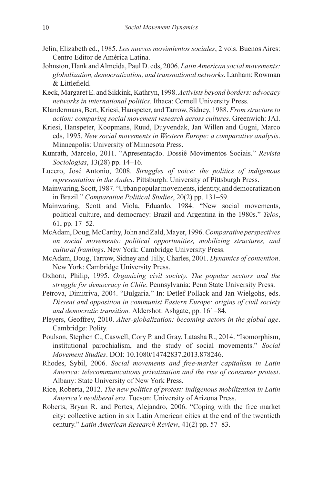- Jelin, Elizabeth ed., 1985. *Los nuevos movimientos sociales*, 2 vols. Buenos Aires: Centro Editor de América Latina.
- Johnston, Hank and Almeida, Paul D. eds, 2006. *Latin American social movements: globalization, democratization, and transnational networks*. Lanham: Rowman & Littlefield.
- Keck, Margaret E. and Sikkink, Kathryn, 1998. *Activists beyond borders: advocacy networks in international politics*. Ithaca: Cornell University Press.
- Klandermans, Bert, Kriesi, Hanspeter, and Tarrow, Sidney, 1988. *From structure to action: comparing social movement research across cultures*. Greenwich: JAI.
- Kriesi, Hanspeter, Koopmans, Ruud, Duyvendak, Jan Willen and Gugni, Marco eds, 1995. *New social movements in Western Europe: a comparative analysis*. Minneapolis: University of Minnesota Press.
- Kunrath, Marcelo, 2011. "Apresentação. Dossiê Movimentos Sociais." *Revista Sociologias*, 13(28) pp. 14–16.
- Lucero, José Antonio, 2008. *Struggles of voice: the politics of indigenous representation in the Andes*. Pittsburgh: University of Pittsburgh Press.
- Mainwaring, Scott, 1987. "Urban popular movements, identity, and democratization in Brazil." *Comparative Political Studies*, 20(2) pp. 131–59.
- Mainwaring, Scott and Viola, Eduardo, 1984. "New social movements, political culture, and democracy: Brazil and Argentina in the 1980s." *Telos*, 61, pp. 17–52.
- McAdam, Doug, McCarthy, John and Zald, Mayer, 1996. *Comparative perspectives on social movements: political opportunities, mobilizing structures, and cultural framings*. New York: Cambridge University Press.
- McAdam, Doug, Tarrow, Sidney and Tilly, Charles, 2001. *Dynamics of contention*. New York: Cambridge University Press.
- Oxhorn, Philip, 1995. *Organizing civil society. The popular sectors and the struggle for democracy in Chile*. Pennsylvania: Penn State University Press.
- Petrova, Dimitriva, 2004. "Bulgaria." In: Detlef Pollack and Jan Wielgohs, eds. *Dissent and opposition in communist Eastern Europe: origins of civil society and democratic transition.* Aldershot: Ashgate, pp. 161–84.
- Pleyers, Geoffrey, 2010. *Alter-globalization: becoming actors in the global age*. Cambridge: Polity.
- Poulson, Stephen C., Caswell, Cory P. and Gray, Latasha R., 2014. "Isomorphism, institutional parochialism, and the study of social movements." *Social Movement Studies*. DOI: 10.1080/14742837.2013.878246.
- Rhodes, Sybil, 2006. *Social movements and free-market capitalism in Latin America: telecommunications privatization and the rise of consumer protest*. Albany: State University of New York Press.
- Rice, Roberta, 2012. *The new politics of protest: indigenous mobilization in Latin America's neoliberal era*. Tucson: University of Arizona Press.
- Roberts, Bryan R. and Portes, Alejandro, 2006. "Coping with the free market city: collective action in six Latin American cities at the end of the twentieth century." *Latin American Research Review*, 41(2) pp. 57–83.